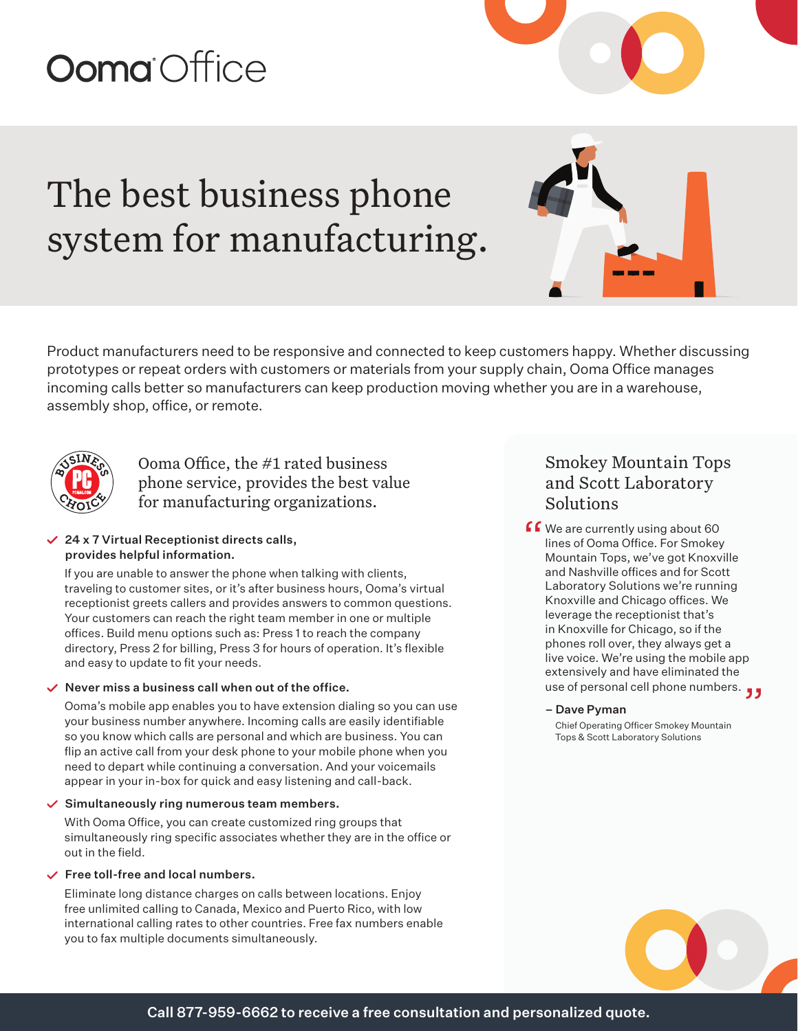# **Ooma** Office

## The best business phone system for manufacturing.

Product manufacturers need to be responsive and connected to keep customers happy. Whether discussing prototypes or repeat orders with customers or materials from your supply chain, Ooma Office manages incoming calls better so manufacturers can keep production moving whether you are in a warehouse, assembly shop, office, or remote.



Ooma Office, the #1 rated business phone service, provides the best value for manufacturing organizations.

#### $\angle$  24 x 7 Virtual Receptionist directs calls, provides helpful information.

If you are unable to answer the phone when talking with clients, traveling to customer sites, or it's after business hours, Ooma's virtual receptionist greets callers and provides answers to common questions. Your customers can reach the right team member in one or multiple offices. Build menu options such as: Press 1 to reach the company directory, Press 2 for billing, Press 3 for hours of operation. It's flexible and easy to update to fit your needs.

#### $\vee$  Never miss a business call when out of the office.

Ooma's mobile app enables you to have extension dialing so you can use your business number anywhere. Incoming calls are easily identifiable so you know which calls are personal and which are business. You can flip an active call from your desk phone to your mobile phone when you need to depart while continuing a conversation. And your voicemails appear in your in-box for quick and easy listening and call-back.

#### $\checkmark$  Simultaneously ring numerous team members.

With Ooma Office, you can create customized ring groups that simultaneously ring specific associates whether they are in the office or out in the field.

#### $\checkmark$  Free toll-free and local numbers.

Eliminate long distance charges on calls between locations. Enjoy free unlimited calling to Canada, Mexico and Puerto Rico, with low international calling rates to other countries. Free fax numbers enable you to fax multiple documents simultaneously.

### Smokey Mountain Tops and Scott Laboratory Solutions

**f C** We are currently using about 60<br>lines of Ooma Office. For Smokey<br>Mountain Tons, we've got Knoxy lines of Ooma Office. For Smokey Mountain Tops, we've got Knoxville and Nashville offices and for Scott Laboratory Solutions we're running Knoxville and Chicago offices. We leverage the receptionist that's in Knoxville for Chicago, so if the phones roll over, they always get a live voice. We're using the mobile app extensively and have eliminated the use of personal cell phone numbers. "

#### – Dave Pyman

 Chief Operating Officer Smokey Mountain Tops & Scott Laboratory Solutions